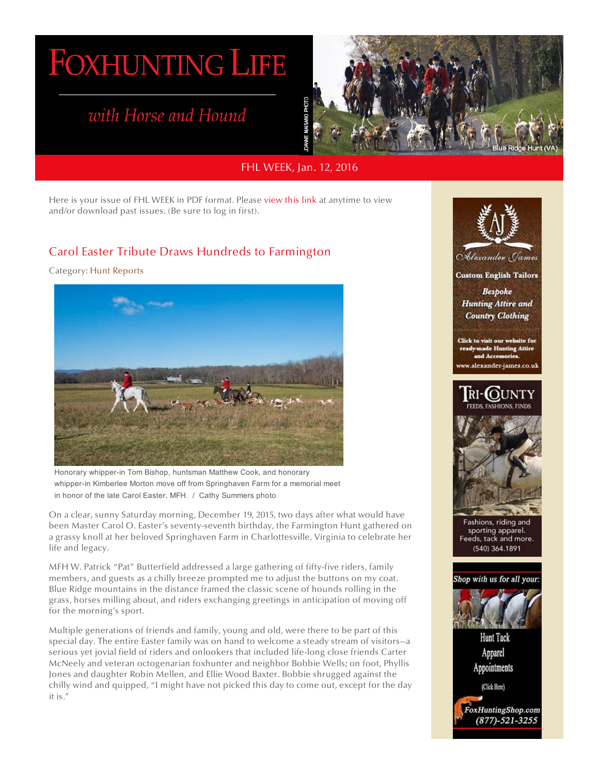# **FOXHUNTING LIFE**

# with Horse and Hound



## FHL WEEK, Jan. 12, 2016

Here is your issue of FHL WEEK in PDF format. Please [view this link](http://www.foxhuntinglife.com/pdf-files-of-fhl-week) at anytime to view and/or download past issues. (Be sure to log in first).

# [Carol Easter Tribute Draws Hundreds to Farmington](http://www.foxhuntinglife.com/profile-sp-123218918/pluginclass?plugin=cbpaidsubscriptions&do=accessdenied&accesstype=contentdisplay&accessvalue=1580&accessurl=)

### Category: Hunt Reports



Honorary whipper-in Tom Bishop, huntsman Matthew Cook, and honorary whipper-in Kimberlee Morton move off from Springhaven Farm for a memorial meet in honor of the late Carol Easter, MFH./Cathy Summers photo

On a clear, sunny Saturday morning, December 19, 2015, two days after what would have been Master Carol O. Easter's seventy-seventh birthday, the Farmington Hunt gathered on a grassy knoll at her beloved Springhaven Farm in Charlottesville, Virginia to celebrate her life and legacy.

MFH W. Patrick "Pat" Butterfield addressed a large gathering of fifty-five riders, family members, and guests as a chilly breeze prompted me to adjust the buttons on my coat. Blue Ridge mountains in the distance framed the classic scene of hounds rolling in the grass, horses milling about, and riders exchanging greetings in anticipation of moving off for the morning's sport.

Multiple generations of friends and family, young and old, were there to be part of this special day. The entire Easter family was on hand to welcome a steady stream of visitors--a serious yet jovial field of riders and onlookers that included life-long close friends Carter McNeely and veteran octogenarian foxhunter and neighbor Bobbie Wells; on foot, Phyllis Jones and daughter Robin Mellen, and Ellie Wood Baxter. Bobbie shrugged against the chilly wind and quipped, "I might have not picked this day to come out, except for the day it is."



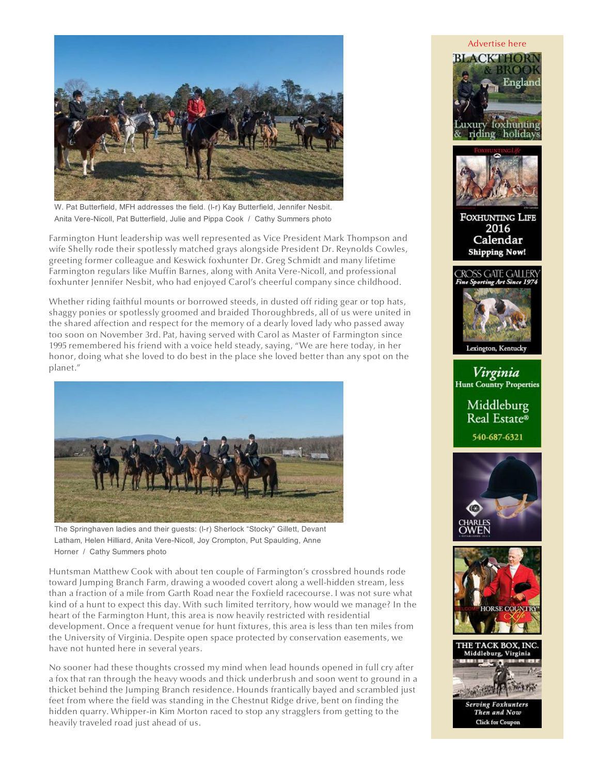

W. Pat Butterfield, MFH addresses the field. (l-r) Kay Butterfield, Jennifer Nesbit. Anita Vere-Nicoll, Pat Butterfield, Julie and Pippa Cook/Cathy Summers photo

Farmington Hunt leadership was well represented as Vice President Mark Thompson and wife Shelly rode their spotlessly matched grays alongside President Dr. Reynolds Cowles, greeting former colleague and Keswick foxhunter Dr. Greg Schmidt and many lifetime Farmington regulars like Muffin Barnes, along with Anita Vere-Nicoll, and professional foxhunter Jennifer Nesbit, who had enjoyed Carol's cheerful company since childhood.

Whether riding faithful mounts or borrowed steeds, in dusted off riding gear or top hats, shaggy ponies or spotlessly groomed and braided Thoroughbreds, all of us were united in the shared affection and respect for the memory of a dearly loved lady who passed away too soon on November 3rd. Pat, having served with Carol as Master of Farmington since 1995 remembered his friend with a voice held steady, saying, "We are here today, in her honor, doing what she loved to do best in the place she loved better than any spot on the planet."



The Springhaven ladies and their guests: (l-r) Sherlock "Stocky" Gillett, Devant Latham, Helen Hilliard, Anita Vere-Nicoll, Joy Crompton, Put Spaulding, Anne Horner/Cathy Summers photo

Huntsman Matthew Cook with about ten couple of Farmington's crossbred hounds rode toward Jumping Branch Farm, drawing a wooded covert along a well-hidden stream, less than a fraction of a mile from Garth Road near the Foxfield racecourse. I was not sure what kind of a hunt to expect this day. With such limited territory, how would we manage? In the heart of the Farmington Hunt, this area is now heavily restricted with residential development. Once a frequent venue for hunt fixtures, this area is less than ten miles from the University of Virginia. Despite open space protected by conservation easements, we have not hunted here in several years.

No sooner had these thoughts crossed my mind when lead hounds opened in full cry after a fox that ran through the heavy woods and thick underbrush and soon went to ground in a thicket behind the Jumping Branch residence. Hounds frantically bayed and scrambled just feet from where the field was standing in the Chestnut Ridge drive, bent on finding the hidden quarry. Whipper-in Kim Morton raced to stop any stragglers from getting to the heavily traveled road just ahead of us.

#### [Advertise here](http://www.foxhuntinglife.com/advertise-fhl)





**FOXHUNTING LIFE** 2016 Calendar **Shipping Now!** 



Virginia **Hunt Country Properties** 

> Middleburg Real Estate® 540-687-6321







Then and Now **Click for Coupon**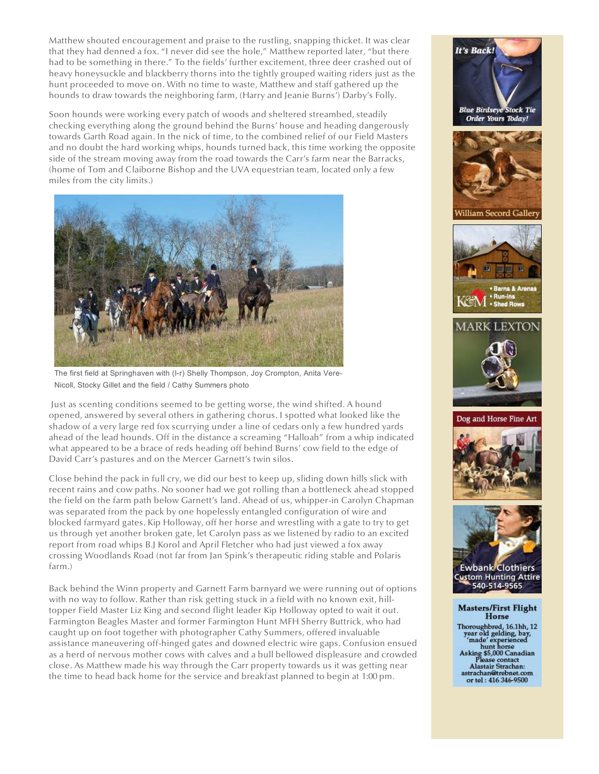Matthew shouted encouragement and praise to the rustling, snapping thicket. It was clear that they had denned a fox. "I never did see the hole," Matthew reported later, "but there had to be something in there." To the fields' further excitement, three deer crashed out of heavy honeysuckle and blackberry thorns into the tightly grouped waiting riders just as the hunt proceeded to move on. With no time to waste, Matthew and staff gathered up the hounds to draw towards the neighboring farm, (Harry and Jeanie Burns') Darby's Folly.

Soon hounds were working every patch of woods and sheltered streambed, steadily checking everything along the ground behind the Burns' house and heading dangerously towards Garth Road again. In the nick of time, to the combined relief of our Field Masters and no doubt the hard working whips, hounds turned back, this time working the opposite side of the stream moving away from the road towards the Carr's farm near the Barracks, (home of Tom and Claiborne Bishop and the UVA equestrian team, located only a few miles from the city limits.)



The first field at Springhaven with (l-r) Shelly Thompson, Joy Crompton, Anita Vere-Nicoll, Stocky Gillet and the field / Cathy Summers photo

 Just as scenting conditions seemed to be getting worse, the wind shifted. A hound opened, answered by several others in gathering chorus. I spotted what looked like the shadow of a very large red fox scurrying under a line of cedars only a few hundred yards ahead of the lead hounds. Off in the distance a screaming "Halloah" from a whip indicated what appeared to be a brace of reds heading off behind Burns' cow field to the edge of David Carr's pastures and on the Mercer Garnett's twin silos.

Close behind the pack in full cry, we did our best to keep up, sliding down hills slick with recent rains and cow paths. No sooner had we got rolling than a bottleneck ahead stopped the field on the farm path below Garnett's land. Ahead of us, whipper-in Carolyn Chapman was separated from the pack by one hopelessly entangled configuration of wire and blocked farmyard gates. Kip Holloway, off her horse and wrestling with a gate to try to get us through yet another broken gate, let Carolyn pass as we listened by radio to an excited report from road whips B.J Korol and April Fletcher who had just viewed a fox away crossing Woodlands Road (not far from Jan Spink's therapeutic riding stable and Polaris farm.)

Back behind the Winn property and Garnett Farm barnyard we were running out of options with no way to follow. Rather than risk getting stuck in a field with no known exit, hilltopper Field Master Liz King and second flight leader Kip Holloway opted to wait it out. Farmington Beagles Master and former Farmington Hunt MFH Sherry Buttrick, who had caught up on foot together with photographer Cathy Summers, offered invaluable assistance maneuvering off-hinged gates and downed electric wire gaps. Confusion ensued as a herd of nervous mother cows with calves and a bull bellowed displeasure and crowded close. As Matthew made his way through the Carr property towards us it was getting near the time to head back home for the service and breakfast planned to begin at 1:00 pm.



Dog and Horse Fine Art





**Custom Hunting Attire** 540-514-9565

#### **Masters/First Flight Horse**

Thoroughbred, 16.1hh, 12<br>
year old gelding, bay,<br>
"made" experienced<br>
hunt horse<br>
hunt horse<br>
Asking \$5,000 Canadian<br>
Please contact<br>
Alastair Strachan: astrachan@trebnet.com<br>or tel: 416 346-9500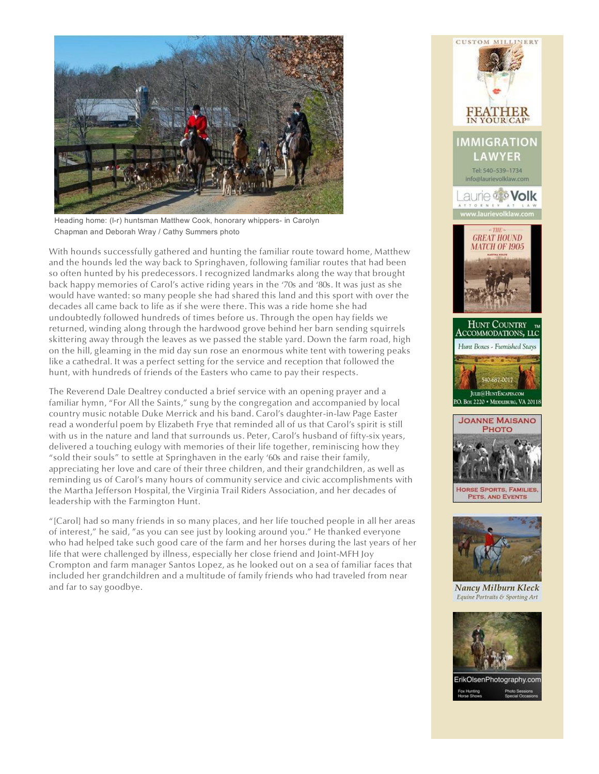

Heading home: (l-r) huntsman Matthew Cook, honorary whippers- in Carolyn Chapman and Deborah Wray / Cathy Summers photo

With hounds successfully gathered and hunting the familiar route toward home, Matthew and the hounds led the way back to Springhaven, following familiar routes that had been so often hunted by his predecessors. I recognized landmarks along the way that brought back happy memories of Carol's active riding years in the '70s and '80s. It was just as she would have wanted: so many people she had shared this land and this sport with over the decades all came back to life as if she were there. This was a ride home she had undoubtedly followed hundreds of times before us. Through the open hay fields we returned, winding along through the hardwood grove behind her barn sending squirrels skittering away through the leaves as we passed the stable yard. Down the farm road, high on the hill, gleaming in the mid day sun rose an enormous white tent with towering peaks like a cathedral. It was a perfect setting for the service and reception that followed the hunt, with hundreds of friends of the Easters who came to pay their respects.

The Reverend Dale Dealtrey conducted a brief service with an opening prayer and a familiar hymn, "For All the Saints," sung by the congregation and accompanied by local country music notable Duke Merrick and his band. Carol's daughter-in-law Page Easter read a wonderful poem by Elizabeth Frye that reminded all of us that Carol's spirit is still with us in the nature and land that surrounds us. Peter, Carol's husband of fifty-six years, delivered a touching eulogy with memories of their life together, reminiscing how they "sold their souls" to settle at Springhaven in the early '60s and raise their family, appreciating her love and care of their three children, and their grandchildren, as well as reminding us of Carol's many hours of community service and civic accomplishments with the Martha Jefferson Hospital, the Virginia Trail Riders Association, and her decades of leadership with the Farmington Hunt.

"[Carol] had so many friends in so many places, and her life touched people in all her areas of interest," he said, "as you can see just by looking around you." He thanked everyone who had helped take such good care of the farm and her horses during the last years of her life that were challenged by illness, especially her close friend and Joint-MFH Joy Crompton and farm manager Santos Lopez, as he looked out on a sea of familiar faces that included her grandchildren and a multitude of family friends who had traveled from near and far to say goodbye.